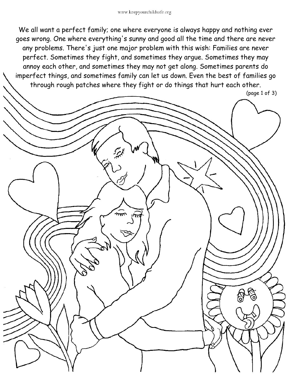## www.keepyourchildsafe.org

We all want a perfect family; one where everyone is always happy and nothing ever goes wrong. One where everything's sunny and good all the time and there are never any problems. There's just one major problem with this wish: Families are never perfect. Sometimes they fight, and sometimes they argue. Sometimes they may annoy each other, and sometimes they may not get along. Sometimes parents do imperfect things, and sometimes family can let us down. Even the best of families go through rough patches where they fight or do things that hurt each other.

(page 1 of 3)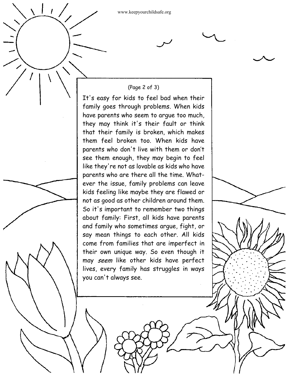www.keepyourchildsafe.org

 $\left| \begin{array}{c} \hline \end{array} \right|$ 

## (Page 2 of 3)

It's easy for kids to feel bad when their family goes through problems. When kids have parents who seem to argue too much, they may think it's their fault or think that their family is broken, which makes them feel broken too. When kids have parents who don't live with them or don't see them enough, they may begin to feel like they're not as lovable as kids who have parents who are there all the time. What ever the issue, family problems can leave kids feeling like maybe they are flawed or not as good as other children around them. So it's important to remember two things about family: First, all kids have parents and family who sometimes argue, fight, or say mean things to each other. All kids come from families that are imperfect in their own unique way. So even though it may seem like other kids have perfect lives, every family has struggles in ways you can't always see.